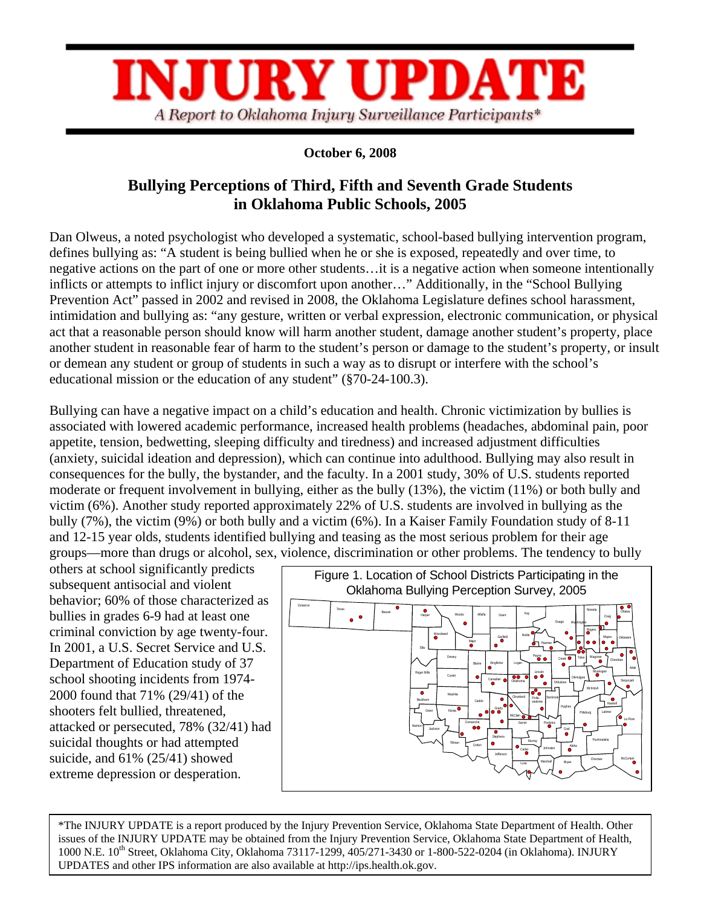

## **October 6, 2008**

# **Bullying Perceptions of Third, Fifth and Seventh Grade Students in Oklahoma Public Schools, 2005**

Dan Olweus, a noted psychologist who developed a systematic, school-based bullying intervention program, defines bullying as: "A student is being bullied when he or she is exposed, repeatedly and over time, to negative actions on the part of one or more other students…it is a negative action when someone intentionally inflicts or attempts to inflict injury or discomfort upon another…" Additionally, in the "School Bullying Prevention Act" passed in 2002 and revised in 2008, the Oklahoma Legislature defines school harassment, intimidation and bullying as: "any gesture, written or verbal expression, electronic communication, or physical act that a reasonable person should know will harm another student, damage another student's property, place another student in reasonable fear of harm to the student's person or damage to the student's property, or insult or demean any student or group of students in such a way as to disrupt or interfere with the school's educational mission or the education of any student" (§70-24-100.3).

Bullying can have a negative impact on a child's education and health. Chronic victimization by bullies is associated with lowered academic performance, increased health problems (headaches, abdominal pain, poor appetite, tension, bedwetting, sleeping difficulty and tiredness) and increased adjustment difficulties (anxiety, suicidal ideation and depression), which can continue into adulthood. Bullying may also result in consequences for the bully, the bystander, and the faculty. In a 2001 study, 30% of U.S. students reported moderate or frequent involvement in bullying, either as the bully (13%), the victim (11%) or both bully and victim (6%). Another study reported approximately 22% of U.S. students are involved in bullying as the bully (7%), the victim (9%) or both bully and a victim (6%). In a Kaiser Family Foundation study of 8-11 and 12-15 year olds, students identified bullying and teasing as the most serious problem for their age groups—more than drugs or alcohol, sex, violence, discrimination or other problems. The tendency to bully

others at school significantly predicts subsequent antisocial and violent behavior; 60% of those characterized as bullies in grades 6-9 had at least one criminal conviction by age twenty-four. In 2001, a U.S. Secret Service and U.S. Department of Education study of 37 school shooting incidents from 1974- 2000 found that 71% (29/41) of the shooters felt bullied, threatened, attacked or persecuted, 78% (32/41) had suicidal thoughts or had attempted suicide, and 61% (25/41) showed extreme depression or desperation.



\*The INJURY UPDATE is a report produced by the Injury Prevention Service, Oklahoma State Department of Health. Other issues of the INJURY UPDATE may be obtained from the Injury Prevention Service, Oklahoma State Department of Health, 1000 N.E. 10th Street, Oklahoma City, Oklahoma 73117-1299, 405/271-3430 or 1-800-522-0204 (in Oklahoma). INJURY UPDATES and other IPS information are also available at http://ips.health.ok.gov.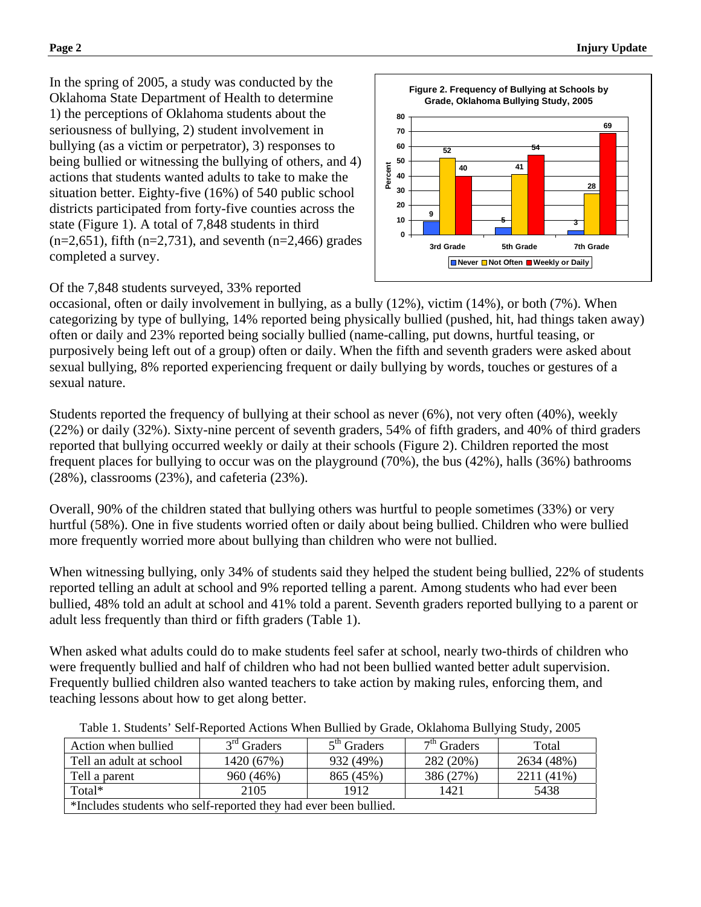In the spring of 2005, a study was conducted by the Oklahoma State Department of Health to determine 1) the perceptions of Oklahoma students about the seriousness of bullying, 2) student involvement in bullying (as a victim or perpetrator), 3) responses to being bullied or witnessing the bullying of others, and 4) actions that students wanted adults to take to make the situation better. Eighty-five (16%) of 540 public school districts participated from forty-five counties across the state (Figure 1). A total of 7,848 students in third  $(n=2,651)$ , fifth  $(n=2,731)$ , and seventh  $(n=2,466)$  grades completed a survey.



## Of the 7,848 students surveyed, 33% reported

occasional, often or daily involvement in bullying, as a bully (12%), victim (14%), or both (7%). When categorizing by type of bullying, 14% reported being physically bullied (pushed, hit, had things taken away) often or daily and 23% reported being socially bullied (name-calling, put downs, hurtful teasing, or purposively being left out of a group) often or daily. When the fifth and seventh graders were asked about sexual bullying, 8% reported experiencing frequent or daily bullying by words, touches or gestures of a sexual nature.

Students reported the frequency of bullying at their school as never (6%), not very often (40%), weekly (22%) or daily (32%). Sixty-nine percent of seventh graders, 54% of fifth graders, and 40% of third graders reported that bullying occurred weekly or daily at their schools (Figure 2). Children reported the most frequent places for bullying to occur was on the playground (70%), the bus (42%), halls (36%) bathrooms (28%), classrooms (23%), and cafeteria (23%).

Overall, 90% of the children stated that bullying others was hurtful to people sometimes (33%) or very hurtful (58%). One in five students worried often or daily about being bullied. Children who were bullied more frequently worried more about bullying than children who were not bullied.

When witnessing bullying, only 34% of students said they helped the student being bullied, 22% of students reported telling an adult at school and 9% reported telling a parent. Among students who had ever been bullied, 48% told an adult at school and 41% told a parent. Seventh graders reported bullying to a parent or adult less frequently than third or fifth graders (Table 1).

When asked what adults could do to make students feel safer at school, nearly two-thirds of children who were frequently bullied and half of children who had not been bullied wanted better adult supervision. Frequently bullied children also wanted teachers to take action by making rules, enforcing them, and teaching lessons about how to get along better.

| Action when bullied                                              | $3rd$ Graders | $5th$ Graders | $7th$ Graders | Total      |
|------------------------------------------------------------------|---------------|---------------|---------------|------------|
| Tell an adult at school                                          | 1420 (67%)    | 932 (49%)     | 282 (20%)     | 2634 (48%) |
| Tell a parent                                                    | 960 (46%)     | 865 (45%)     | 386 (27%)     | 2211 (41%) |
| Total*                                                           | 2105          | 1912          | 1421          | 5438       |
| *Includes students who self-reported they had ever been bullied. |               |               |               |            |

Table 1. Students' Self-Reported Actions When Bullied by Grade, Oklahoma Bullying Study, 2005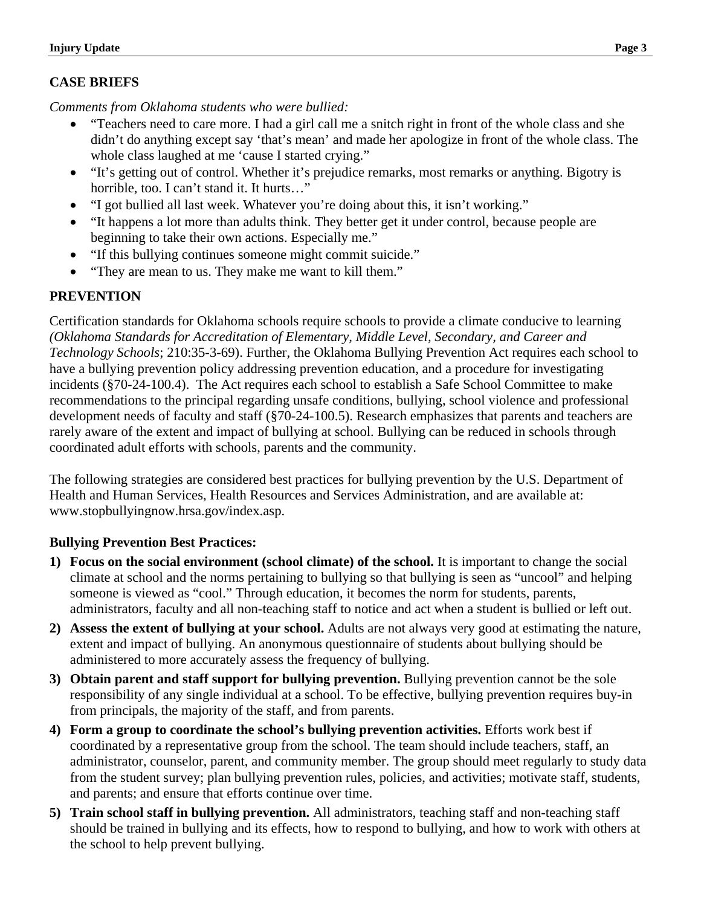## **CASE BRIEFS**

*Comments from Oklahoma students who were bullied:* 

- "Teachers need to care more. I had a girl call me a snitch right in front of the whole class and she didn't do anything except say 'that's mean' and made her apologize in front of the whole class. The whole class laughed at me 'cause I started crying."
- "It's getting out of control. Whether it's prejudice remarks, most remarks or anything. Bigotry is horrible, too. I can't stand it. It hurts…"
- "I got bullied all last week. Whatever you're doing about this, it isn't working."
- "It happens a lot more than adults think. They better get it under control, because people are beginning to take their own actions. Especially me."
- "If this bullying continues someone might commit suicide."
- "They are mean to us. They make me want to kill them."

## **PREVENTION**

Certification standards for Oklahoma schools require schools to provide a climate conducive to learning *(Oklahoma Standards for Accreditation of Elementary, Middle Level, Secondary, and Career and Technology Schools*; 210:35-3-69). Further, the Oklahoma Bullying Prevention Act requires each school to have a bullying prevention policy addressing prevention education, and a procedure for investigating incidents (§70-24-100.4). The Act requires each school to establish a Safe School Committee to make recommendations to the principal regarding unsafe conditions, bullying, school violence and professional development needs of faculty and staff (§70-24-100.5). Research emphasizes that parents and teachers are rarely aware of the extent and impact of bullying at school. Bullying can be reduced in schools through coordinated adult efforts with schools, parents and the community.

The following strategies are considered best practices for bullying prevention by the U.S. Department of Health and Human Services, Health Resources and Services Administration, and are available at: www.stopbullyingnow.hrsa.gov/index.asp.

## **Bullying Prevention Best Practices:**

- **1) Focus on the social environment (school climate) of the school.** It is important to change the social climate at school and the norms pertaining to bullying so that bullying is seen as "uncool" and helping someone is viewed as "cool." Through education, it becomes the norm for students, parents, administrators, faculty and all non-teaching staff to notice and act when a student is bullied or left out.
- **2) Assess the extent of bullying at your school.** Adults are not always very good at estimating the nature, extent and impact of bullying. An anonymous questionnaire of students about bullying should be administered to more accurately assess the frequency of bullying.
- **3) Obtain parent and staff support for bullying prevention.** Bullying prevention cannot be the sole responsibility of any single individual at a school. To be effective, bullying prevention requires buy-in from principals, the majority of the staff, and from parents.
- **4) Form a group to coordinate the school's bullying prevention activities.** Efforts work best if coordinated by a representative group from the school. The team should include teachers, staff, an administrator, counselor, parent, and community member. The group should meet regularly to study data from the student survey; plan bullying prevention rules, policies, and activities; motivate staff, students, and parents; and ensure that efforts continue over time.
- **5) Train school staff in bullying prevention.** All administrators, teaching staff and non-teaching staff should be trained in bullying and its effects, how to respond to bullying, and how to work with others at the school to help prevent bullying.